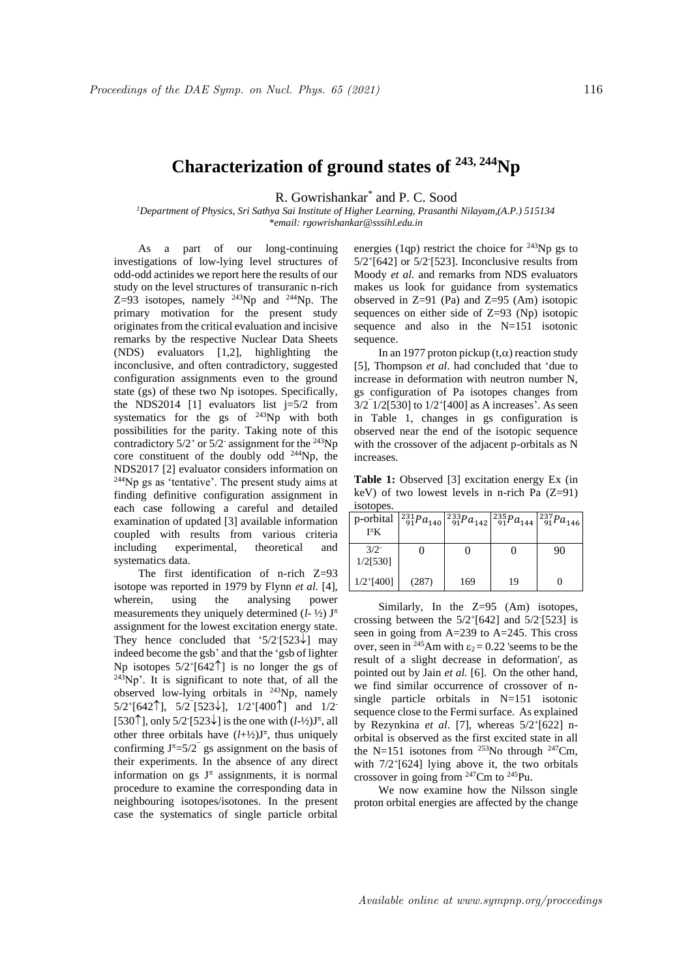## **Characterization of ground states of 243, 244Np**

R. Gowrishankar\* and P. C. Sood

*<sup>1</sup>Department of Physics, Sri Sathya Sai Institute of Higher Learning, Prasanthi Nilayam,(A.P.) 515134 \*email: rgowrishankar@sssihl.edu.in*

As a part of our long-continuing investigations of low-lying level structures of odd-odd actinides we report here the results of our study on the level structures of transuranic n-rich Z=93 isotopes, namely  $^{243}$ Np and  $^{244}$ Np. The primary motivation for the present study originates from the critical evaluation and incisive remarks by the respective Nuclear Data Sheets (NDS) evaluators [1,2], highlighting the inconclusive, and often contradictory, suggested configuration assignments even to the ground state (gs) of these two Np isotopes. Specifically, the NDS2014 [1] evaluators list  $j=5/2$  from systematics for the gs of  $243Np$  with both possibilities for the parity. Taking note of this contradictory  $5/2$ <sup>+</sup> or  $5/2$ <sup>-</sup> assignment for the <sup>243</sup>Np core constituent of the doubly odd <sup>244</sup>Np, the NDS2017 [2] evaluator considers information on <sup>244</sup>Np gs as 'tentative'. The present study aims at finding definitive configuration assignment in each case following a careful and detailed examination of updated [3] available information coupled with results from various criteria including experimental, theoretical and systematics data.

The first identification of n-rich Z=93 isotope was reported in 1979 by Flynn *et al.* [4], wherein, using the analysing power measurements they uniquely determined  $(l-1/2)$  J<sup> $\pi$ </sup> assignment for the lowest excitation energy state. They hence concluded that '5/2<sup>-</sup>[523 $\downarrow$ ] may indeed become the gsb' and that the 'gsb of lighter Np isotopes  $5/2^{+}$ [642 $\uparrow$ ] is no longer the gs of  $243$ Np'. It is significant to note that, of all the observed low-lying orbitals in <sup>243</sup>Np, namely  $5/2^{+}[642]$ ,  $5/2^{-}[523\downarrow]$ ,  $1/2^{+}[400]$  and  $1/2^{-}$ [530<sup> $\uparrow$ </sup>], only 5/2<sup>-</sup>[523 $\downarrow$ ] is the one with (*l*-½)J<sup> $\uparrow$ </sup>, all other three orbitals have  $(l+\frac{1}{2})J^{\pi}$ , thus uniquely confirming  $J^{\pi} = 5/2$  gs assignment on the basis of their experiments. In the absence of any direct information on gs  $J^{\pi}$  assignments, it is normal procedure to examine the corresponding data in neighbouring isotopes/isotones. In the present case the systematics of single particle orbital

energies (1qp) restrict the choice for  $243Np$  gs to 5/2<sup>+</sup> [642] or 5/2- [523]. Inconclusive results from Moody *et al.* and remarks from NDS evaluators makes us look for guidance from systematics observed in  $Z=91$  (Pa) and  $Z=95$  (Am) isotopic sequences on either side of Z=93 (Np) isotopic sequence and also in the N=151 isotonic sequence.

In an 1977 proton pickup  $(t,\alpha)$  reaction study [5], Thompson *et al*. had concluded that 'due to increase in deformation with neutron number N, gs configuration of Pa isotopes changes from  $3/2$ <sup>-</sup> $1/2$ [530] to  $1/2$ <sup>+</sup>[400] as A increases'. As seen in Table 1, changes in gs configuration is observed near the end of the isotopic sequence with the crossover of the adjacent p-orbitals as N increases.

**Table 1:** Observed [3] excitation energy Ex (in keV) of two lowest levels in n-rich Pa (Z=91) isotopes.

| p-orbital<br>$I^{\pi}K$  |       |     | $\left[\begin{smallmatrix} 231Pa_{140} & 233Pa_{142} & 235Pa_{144} & 237Pa_{146} \\ 91Pa_{142} & 91Pa_{144} & 91Pa_{146} \end{smallmatrix}\right]$ |    |
|--------------------------|-------|-----|----------------------------------------------------------------------------------------------------------------------------------------------------|----|
| $3/2^{-}$<br>1/2[530]    |       |     |                                                                                                                                                    | 90 |
| $1/2$ <sup>+</sup> [400] | (287) | 169 | 19                                                                                                                                                 |    |

Similarly, In the Z=95 (Am) isotopes, crossing between the  $5/2^{+}[642]$  and  $5/2^{-}[523]$  is seen in going from A=239 to A=245. This cross over, seen in <sup>245</sup>Am with  $\varepsilon_2 = 0.22$  'seems to be the result of a slight decrease in deformation', as pointed out by Jain *et al.* [6]. On the other hand, we find similar occurrence of crossover of nsingle particle orbitals in N=151 isotonic sequence close to the Fermi surface. As explained by Rezynkina *et al*. [7], whereas 5/2<sup>+</sup> [622] norbital is observed as the first excited state in all the N=151 isotones from  $253$ No through  $247$ Cm, with 7/2<sup>+</sup> [624] lying above it, the two orbitals crossover in going from <sup>247</sup>Cm to <sup>245</sup>Pu.

We now examine how the Nilsson single proton orbital energies are affected by the change